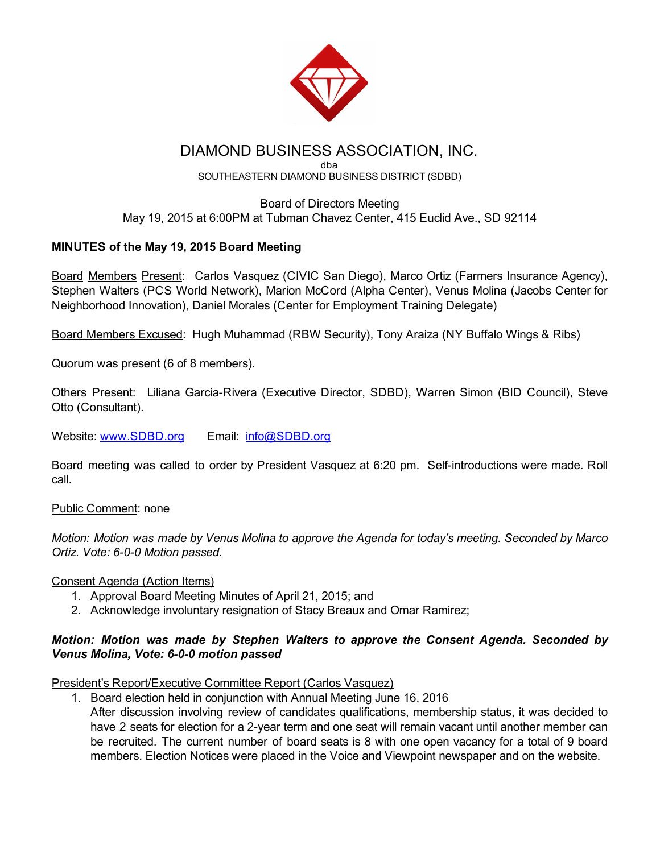

# DIAMOND BUSINESS ASSOCIATION, INC.

#### dba SOUTHEASTERN DIAMOND BUSINESS DISTRICT (SDBD)

### Board of Directors Meeting May 19, 2015 at 6:00PM at Tubman Chavez Center, 415 Euclid Ave., SD 92114

# MINUTES of the May 19, 2015 Board Meeting

Board Members Present: Carlos Vasquez (CIVIC San Diego), Marco Ortiz (Farmers Insurance Agency), Stephen Walters (PCS World Network), Marion McCord (Alpha Center), Venus Molina (Jacobs Center for Neighborhood Innovation), Daniel Morales (Center for Employment Training Delegate)

Board Members Excused: Hugh Muhammad (RBW Security), Tony Araiza (NY Buffalo Wings & Ribs)

Quorum was present (6 of 8 members).

Others Present: Liliana Garcia-Rivera (Executive Director, SDBD), Warren Simon (BID Council), Steve Otto (Consultant).

Website: [www.SDBD.org](http://www.sdbd.org/) Email: [info@SDBD.org](mailto:info@SDBD.org)

Board meeting was called to order by President Vasquez at 6:20 pm. Self-introductions were made. Roll call.

Public Comment: none

*Motion: Motion was made by Venus Molina to approve the Agenda for today's meeting. Seconded by Marco Ortiz. Vote: 6-0-0 Motion passed.* 

Consent Agenda (Action Items)

- 1. Approval Board Meeting Minutes of April 21, 2015; and
- 2. Acknowledge involuntary resignation of Stacy Breaux and Omar Ramirez;

# *Motion: Motion was made by Stephen Walters to approve the Consent Agenda. Seconded by Venus Molina, Vote: 6-0-0 motion passed*

President's Report/Executive Committee Report (Carlos Vasquez)

1. Board election held in conjunction with Annual Meeting June 16, 2016 After discussion involving review of candidates qualifications, membership status, it was decided to have 2 seats for election for a 2-year term and one seat will remain vacant until another member can be recruited. The current number of board seats is 8 with one open vacancy for a total of 9 board members. Election Notices were placed in the Voice and Viewpoint newspaper and on the website.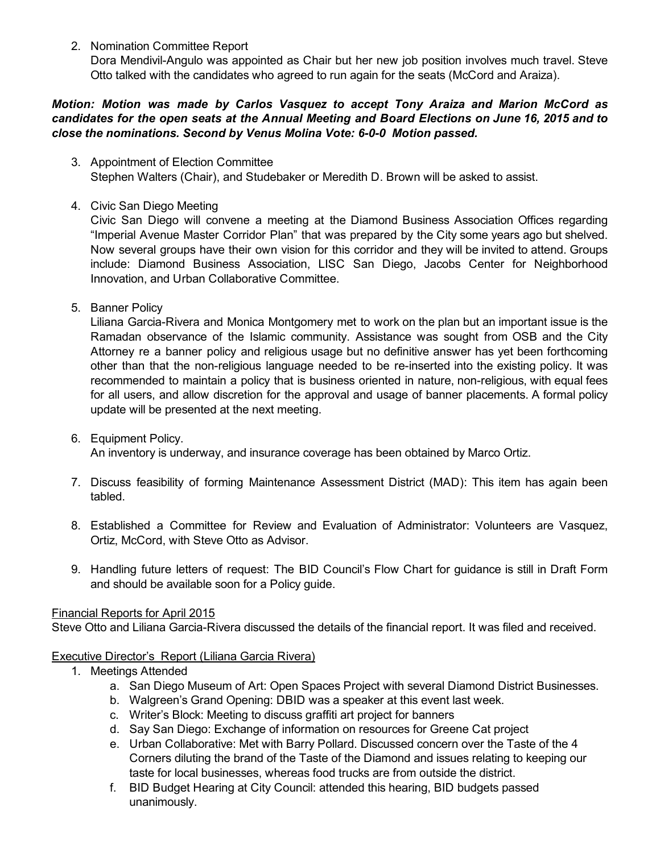2. Nomination Committee Report

Dora Mendivil-Angulo was appointed as Chair but her new job position involves much travel. Steve Otto talked with the candidates who agreed to run again for the seats (McCord and Araiza).

## *Motion: Motion was made by Carlos Vasquez to accept Tony Araiza and Marion McCord as candidates for the open seats at the Annual Meeting and Board Elections on June 16, 2015 and to close the nominations. Second by Venus Molina Vote: 600 Motion passed.*

- 3. Appointment of Election Committee Stephen Walters (Chair), and Studebaker or Meredith D. Brown will be asked to assist.
- 4. Civic San Diego Meeting

Civic San Diego will convene a meeting at the Diamond Business Association Offices regarding "Imperial Avenue Master Corridor Plan" that was prepared by the City some years ago but shelved. Now several groups have their own vision for this corridor and they will be invited to attend. Groups include: Diamond Business Association, LISC San Diego, Jacobs Center for Neighborhood Innovation, and Urban Collaborative Committee.

5. Banner Policy

Liliana Garcia-Rivera and Monica Montgomery met to work on the plan but an important issue is the Ramadan observance of the Islamic community. Assistance was sought from OSB and the City Attorney re a banner policy and religious usage but no definitive answer has yet been forthcoming other than that the non-religious language needed to be re-inserted into the existing policy. It was recommended to maintain a policy that is business oriented in nature, non-religious, with equal fees for all users, and allow discretion for the approval and usage of banner placements. A formal policy update will be presented at the next meeting.

6. Equipment Policy.

An inventory is underway, and insurance coverage has been obtained by Marco Ortiz.

- 7. Discuss feasibility of forming Maintenance Assessment District (MAD): This item has again been tabled.
- 8. Established a Committee for Review and Evaluation of Administrator: Volunteers are Vasquez, Ortiz, McCord, with Steve Otto as Advisor.
- 9. Handling future letters of request: The BID Council's Flow Chart for guidance is still in Draft Form and should be available soon for a Policy guide.

### Financial Reports for April 2015

Steve Otto and Liliana Garcia-Rivera discussed the details of the financial report. It was filed and received.

# Executive Director's Report (Liliana Garcia Rivera)

- 1. Meetings Attended
	- a. San Diego Museum of Art: Open Spaces Project with several Diamond District Businesses.
	- b. Walgreen's Grand Opening: DBID was a speaker at this event last week.
	- c. Writer's Block: Meeting to discuss graffiti art project for banners
	- d. Say San Diego: Exchange of information on resources for Greene Cat project
	- e. Urban Collaborative: Met with Barry Pollard. Discussed concern over the Taste of the 4 Corners diluting the brand of the Taste of the Diamond and issues relating to keeping our taste for local businesses, whereas food trucks are from outside the district.
	- f. BID Budget Hearing at City Council: attended this hearing, BID budgets passed unanimously.